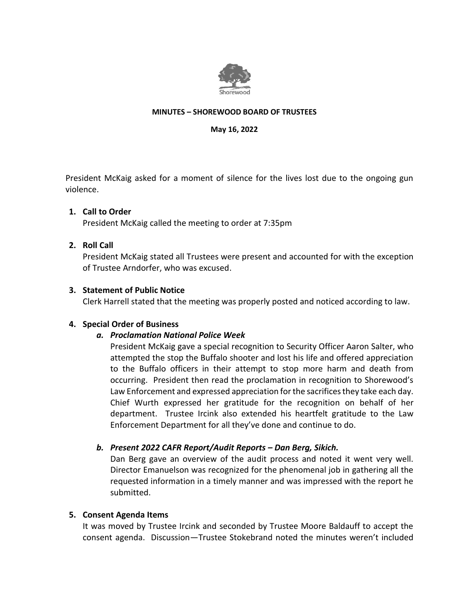

#### **MINUTES – SHOREWOOD BOARD OF TRUSTEES**

**May 16, 2022**

President McKaig asked for a moment of silence for the lives lost due to the ongoing gun violence.

### **1. Call to Order**

President McKaig called the meeting to order at 7:35pm

## **2. Roll Call**

President McKaig stated all Trustees were present and accounted for with the exception of Trustee Arndorfer, who was excused.

### **3. Statement of Public Notice**

Clerk Harrell stated that the meeting was properly posted and noticed according to law.

### **4. Special Order of Business**

# *a. Proclamation National Police Week*

President McKaig gave a special recognition to Security Officer Aaron Salter, who attempted the stop the Buffalo shooter and lost his life and offered appreciation to the Buffalo officers in their attempt to stop more harm and death from occurring. President then read the proclamation in recognition to Shorewood's Law Enforcement and expressed appreciation for the sacrifices they take each day. Chief Wurth expressed her gratitude for the recognition on behalf of her department. Trustee Ircink also extended his heartfelt gratitude to the Law Enforcement Department for all they've done and continue to do.

# *b. Present 2022 CAFR Report/Audit Reports – Dan Berg, Sikich.*

Dan Berg gave an overview of the audit process and noted it went very well. Director Emanuelson was recognized for the phenomenal job in gathering all the requested information in a timely manner and was impressed with the report he submitted.

### **5. Consent Agenda Items**

It was moved by Trustee Ircink and seconded by Trustee Moore Baldauff to accept the consent agenda. Discussion—Trustee Stokebrand noted the minutes weren't included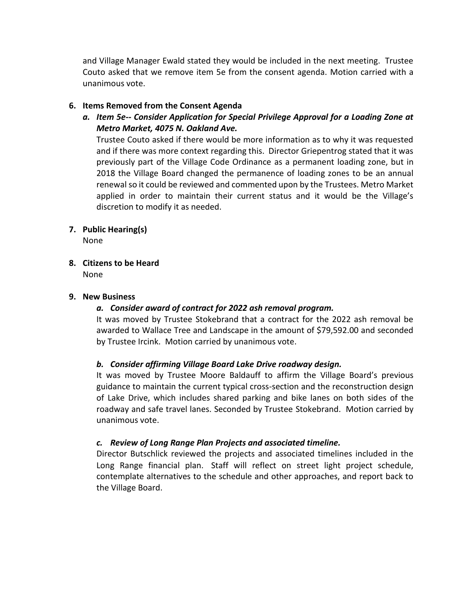and Village Manager Ewald stated they would be included in the next meeting. Trustee Couto asked that we remove item 5e from the consent agenda. Motion carried with a unanimous vote.

## **6. Items Removed from the Consent Agenda**

*a. Item 5e-- Consider Application for Special Privilege Approval for a Loading Zone at Metro Market, 4075 N. Oakland Ave.*

Trustee Couto asked if there would be more information as to why it was requested and if there was more context regarding this. Director Griepentrog stated that it was previously part of the Village Code Ordinance as a permanent loading zone, but in 2018 the Village Board changed the permanence of loading zones to be an annual renewal so it could be reviewed and commented upon by the Trustees. Metro Market applied in order to maintain their current status and it would be the Village's discretion to modify it as needed.

## **7. Public Hearing(s)**

None

**8. Citizens to be Heard**  None

### **9. New Business**

### *a. Consider award of contract for 2022 ash removal program.*

It was moved by Trustee Stokebrand that a contract for the 2022 ash removal be awarded to Wallace Tree and Landscape in the amount of \$79,592.00 and seconded by Trustee Ircink. Motion carried by unanimous vote.

### *b. Consider affirming Village Board Lake Drive roadway design.*

It was moved by Trustee Moore Baldauff to affirm the Village Board's previous guidance to maintain the current typical cross-section and the reconstruction design of Lake Drive, which includes shared parking and bike lanes on both sides of the roadway and safe travel lanes. Seconded by Trustee Stokebrand. Motion carried by unanimous vote.

### *c. Review of Long Range Plan Projects and associated timeline.*

Director Butschlick reviewed the projects and associated timelines included in the Long Range financial plan. Staff will reflect on street light project schedule, contemplate alternatives to the schedule and other approaches, and report back to the Village Board.